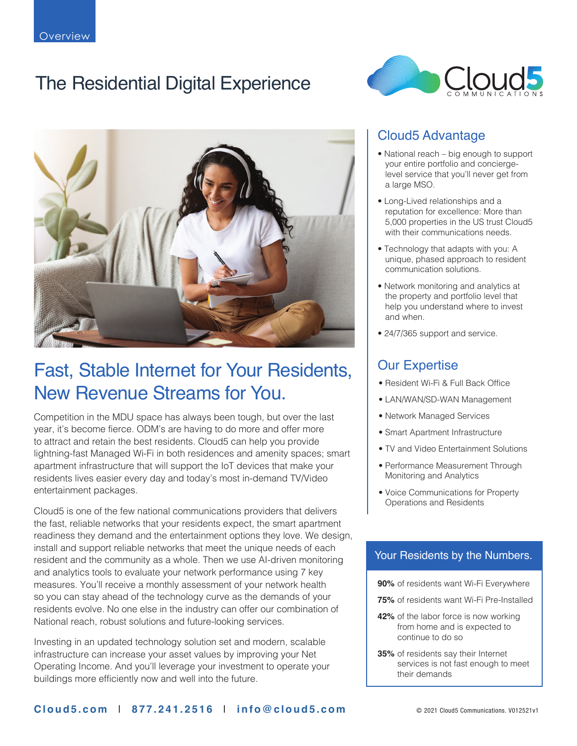# The Residential Digital Experience





## Fast, Stable Internet for Your Residents, New Revenue Streams for You.

Competition in the MDU space has always been tough, but over the last year, it's become fierce. ODM's are having to do more and offer more to attract and retain the best residents. Cloud5 can help you provide lightning-fast Managed Wi-Fi in both residences and amenity spaces; smart apartment infrastructure that will support the IoT devices that make your residents lives easier every day and today's most in-demand TV/Video entertainment packages.

Cloud5 is one of the few national communications providers that delivers the fast, reliable networks that your residents expect, the smart apartment readiness they demand and the entertainment options they love. We design, install and support reliable networks that meet the unique needs of each resident and the community as a whole. Then we use AI-driven monitoring and analytics tools to evaluate your network performance using 7 key measures. You'll receive a monthly assessment of your network health so you can stay ahead of the technology curve as the demands of your residents evolve. No one else in the industry can offer our combination of National reach, robust solutions and future-looking services.

Investing in an updated technology solution set and modern, scalable infrastructure can increase your asset values by improving your Net Operating Income. And you'll leverage your investment to operate your buildings more efficiently now and well into the future.

### Cloud5 Advantage

- National reach big enough to support your entire portfolio and conciergelevel service that you'll never get from a large MSO.
- Long-Lived relationships and a reputation for excellence: More than 5,000 properties in the US trust Cloud5 with their communications needs.
- Technology that adapts with you: A unique, phased approach to resident communication solutions.
- Network monitoring and analytics at the property and portfolio level that help you understand where to invest and when.
- 24/7/365 support and service.

### Our Expertise

- Resident Wi-Fi & Full Back Office
- LAN/WAN/SD-WAN Management
- Network Managed Services
- Smart Apartment Infrastructure
- TV and Video Entertainment Solutions
- Performance Measurement Through Monitoring and Analytics
- Voice Communications for Property Operations and Residents

#### Your Residents by the Numbers.

- **90%** of residents want Wi-Fi Everywhere
- **75%** of residents want Wi-Fi Pre-Installed
- **42%** of the labor force is now working from home and is expected to continue to do so
- **35%** of residents say their Internet services is not fast enough to meet their demands